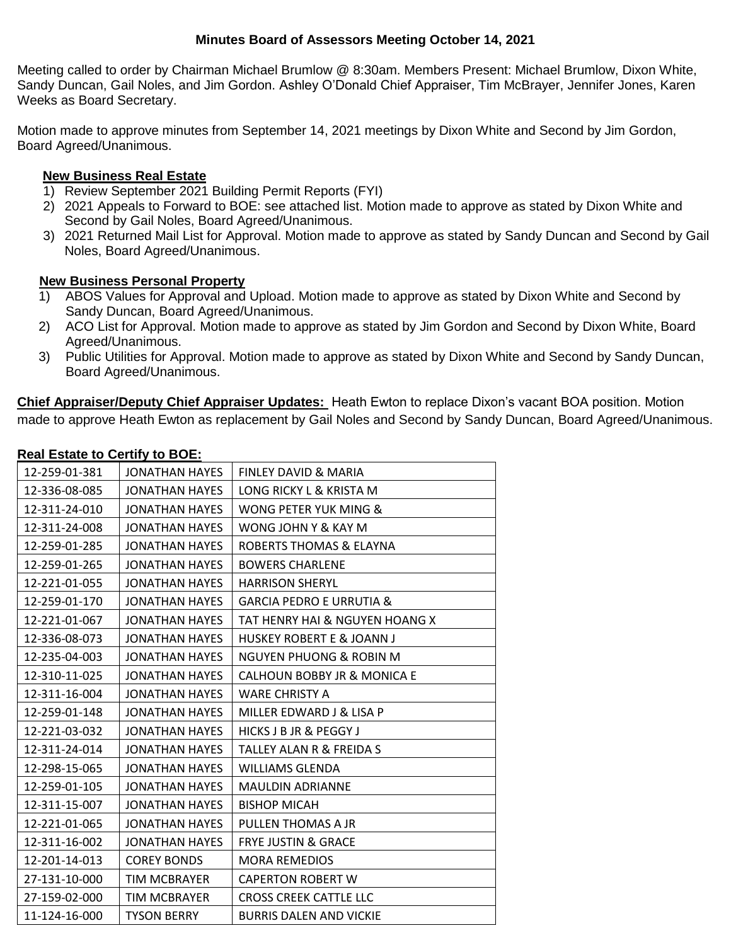## **Minutes Board of Assessors Meeting October 14, 2021**

Meeting called to order by Chairman Michael Brumlow @ 8:30am. Members Present: Michael Brumlow, Dixon White, Sandy Duncan, Gail Noles, and Jim Gordon. Ashley O'Donald Chief Appraiser, Tim McBrayer, Jennifer Jones, Karen Weeks as Board Secretary.

Motion made to approve minutes from September 14, 2021 meetings by Dixon White and Second by Jim Gordon, Board Agreed/Unanimous.

## **New Business Real Estate**

- 1) Review September 2021 Building Permit Reports (FYI)
- 2) 2021 Appeals to Forward to BOE: see attached list. Motion made to approve as stated by Dixon White and Second by Gail Noles, Board Agreed/Unanimous.
- 3) 2021 Returned Mail List for Approval. Motion made to approve as stated by Sandy Duncan and Second by Gail Noles, Board Agreed/Unanimous.

## **New Business Personal Property**

- 1) ABOS Values for Approval and Upload. Motion made to approve as stated by Dixon White and Second by Sandy Duncan, Board Agreed/Unanimous.
- 2) ACO List for Approval. Motion made to approve as stated by Jim Gordon and Second by Dixon White, Board Agreed/Unanimous.
- 3) Public Utilities for Approval. Motion made to approve as stated by Dixon White and Second by Sandy Duncan, Board Agreed/Unanimous.

**Chief Appraiser/Deputy Chief Appraiser Updates:** Heath Ewton to replace Dixon's vacant BOA position. Motion made to approve Heath Ewton as replacement by Gail Noles and Second by Sandy Duncan, Board Agreed/Unanimous.

## **Real Estate to Certify to BOE:**

| <u><b>Externe is solving to both</b></u> |                       |                                     |
|------------------------------------------|-----------------------|-------------------------------------|
| 12-259-01-381                            | <b>JONATHAN HAYES</b> | FINLEY DAVID & MARIA                |
| 12-336-08-085                            | JONATHAN HAYES        | LONG RICKY L & KRISTA M             |
| 12-311-24-010                            | <b>JONATHAN HAYES</b> | WONG PETER YUK MING &               |
| 12-311-24-008                            | JONATHAN HAYES        | WONG JOHN Y & KAY M                 |
| 12-259-01-285                            | JONATHAN HAYES        | ROBERTS THOMAS & ELAYNA             |
| 12-259-01-265                            | JONATHAN HAYES        | <b>BOWERS CHARLENE</b>              |
| 12-221-01-055                            | JONATHAN HAYES        | <b>HARRISON SHERYL</b>              |
| 12-259-01-170                            | JONATHAN HAYES        | <b>GARCIA PEDRO E URRUTIA &amp;</b> |
| 12-221-01-067                            | <b>JONATHAN HAYES</b> | TAT HENRY HAI & NGUYEN HOANG X      |
| 12-336-08-073                            | <b>JONATHAN HAYES</b> | HUSKEY ROBERT E & JOANN J           |
| 12-235-04-003                            | <b>JONATHAN HAYES</b> | NGUYEN PHUONG & ROBIN M             |
| 12-310-11-025                            | JONATHAN HAYES        | CALHOUN BOBBY JR & MONICA E         |
| 12-311-16-004                            | JONATHAN HAYES        | <b>WARE CHRISTY A</b>               |
| 12-259-01-148                            | JONATHAN HAYES        | MILLER EDWARD J & LISA P            |
| 12-221-03-032                            | <b>JONATHAN HAYES</b> | HICKS J B JR & PEGGY J              |
| 12-311-24-014                            | JONATHAN HAYES        | TALLEY ALAN R & FREIDA S            |
| 12-298-15-065                            | JONATHAN HAYES        | WILLIAMS GLENDA                     |
| 12-259-01-105                            | <b>JONATHAN HAYES</b> | <b>MAULDIN ADRIANNE</b>             |
| 12-311-15-007                            | <b>JONATHAN HAYES</b> | <b>BISHOP MICAH</b>                 |
| 12-221-01-065                            | JONATHAN HAYES        | PULLEN THOMAS A JR                  |
| 12-311-16-002                            | <b>JONATHAN HAYES</b> | <b>FRYE JUSTIN &amp; GRACE</b>      |
| 12-201-14-013                            | <b>COREY BONDS</b>    | <b>MORA REMEDIOS</b>                |
| 27-131-10-000                            | <b>TIM MCBRAYER</b>   | <b>CAPERTON ROBERT W</b>            |
| 27-159-02-000                            | TIM MCBRAYER          | <b>CROSS CREEK CATTLE LLC</b>       |
| 11-124-16-000                            | <b>TYSON BERRY</b>    | <b>BURRIS DALEN AND VICKIE</b>      |